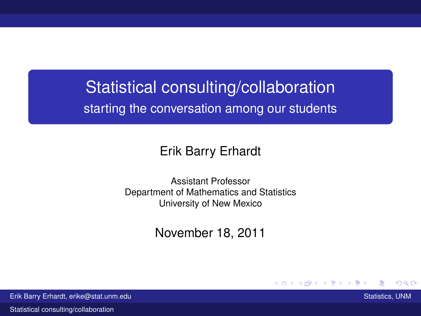# Statistical consulting/collaboration starting the conversation among our students

### Erik Barry Erhardt

Assistant Professor Department of Mathematics and Statistics University of New Mexico

November 18, 2011

<span id="page-0-0"></span>

**KENKE** 

 $\Omega$ 

Erik Barry Erhardt, erike@stat.unm.edu Statistics, UNM Statistics, UNM Statistics, UNM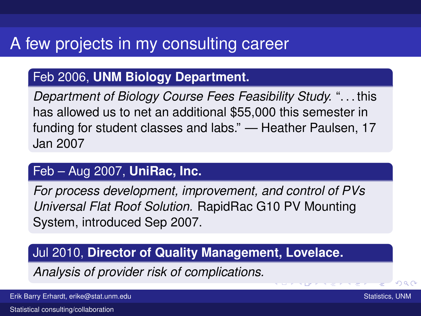# A few projects in my consulting career

### Feb 2006, **UNM Biology Department.**

*Department of Biology Course Fees Feasibility Study.* ". . . this has allowed us to net an additional \$55,000 this semester in funding for student classes and labs." — Heather Paulsen, 17 Jan 2007

### Feb – Aug 2007, **UniRac, Inc.**

*For process development, improvement, and control of PVs Universal Flat Roof Solution.* RapidRac G10 PV Mounting System, introduced Sep 2007.

**COL** 

<span id="page-1-0"></span> $a \alpha$ 

### Jul 2010, **Director of Quality Management, Lovelace.**

*Analysis of provider risk of complications.*

Erik Barry Erhardt, erike@stat.unm.edu Statistics, UNM Statistics, UNM Statistics, UNM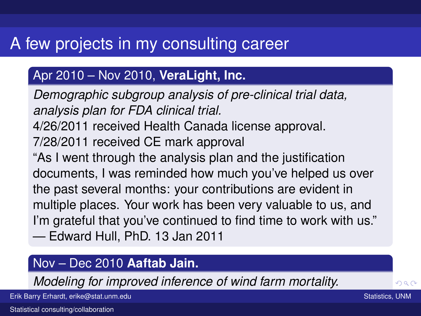# A few projects in my consulting career

### Apr 2010 – Nov 2010, **VeraLight, Inc.**

*Demographic subgroup analysis of pre-clinical trial data, analysis plan for FDA clinical trial.* 4/26/2011 received Health Canada license approval. 7/28/2011 received CE mark approval "As I went through the analysis plan and the justification documents, I was reminded how much you've helped us over the past several months: your contributions are evident in multiple places. Your work has been very valuable to us, and I'm grateful that you've continued to find time to work with us." — Edward Hull, PhD. 13 Jan 2011

### Nov – Dec 2010 **Aaftab Jain.**

*Modeling for improved inference of wind fa[rm](#page-1-0) [m](#page-3-0)[o](#page-1-0)[rt](#page-2-0)[a](#page-3-0)[lit](#page-0-0)[y.](#page-23-0)*

<span id="page-2-0"></span>

Erik Barry Erhardt, erike@stat.unm.edu Statistics, UNM Statistics, UNM Statistics, UNM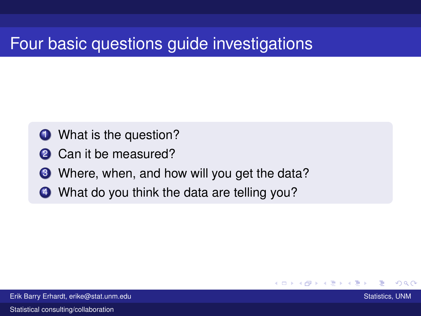## Four basic questions guide investigations

- **1** What is the question?
- **2** Can it be measured?
- **3** Where, when, and how will you get the data?

<span id="page-3-0"></span>つひひ

4 What do you think the data are telling you?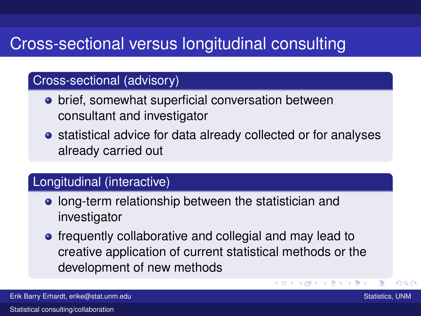# Cross-sectional versus longitudinal consulting

#### Cross-sectional (advisory)

- **•** brief, somewhat superficial conversation between consultant and investigator
- **•** statistical advice for data already collected or for analyses already carried out

#### Longitudinal (interactive)

- **.** long-term relationship between the statistician and investigator
- **•** frequently collaborative and collegial and may lead to creative application of current statistical methods or the development of new methods

つひひ

**K ロメ K 御 メ K ヨ メ キ**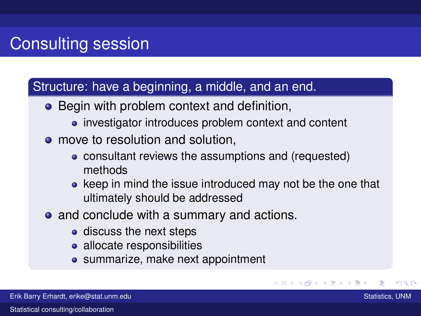### Structure: have a beginning, a middle, and an end.

- Begin with problem context and definition,
	- investigator introduces problem context and content
- move to resolution and solution.
	- consultant reviews the assumptions and (requested) methods
	- keep in mind the issue introduced may not be the one that ultimately should be addressed

(ロ) (伊)

 $Q \cap$ 

- and conclude with a summary and actions.
	- discuss the next steps
	- allocate responsibilities
	- summarize, make next appointment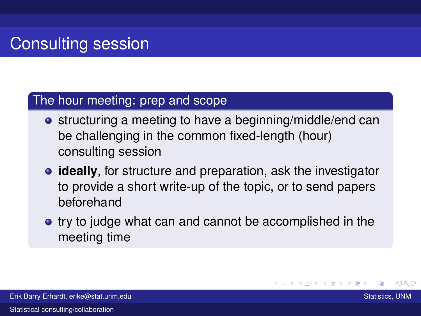#### The hour meeting: prep and scope

- **•** structuring a meeting to have a beginning/middle/end can be challenging in the common fixed-length (hour) consulting session
- **ideally**, for structure and preparation, ask the investigator to provide a short write-up of the topic, or to send papers beforehand
- try to judge what can and cannot be accomplished in the meeting time

つひひ

K ロ ⊁ K 倒 ≯ K ミ ⊁ K ミ ≯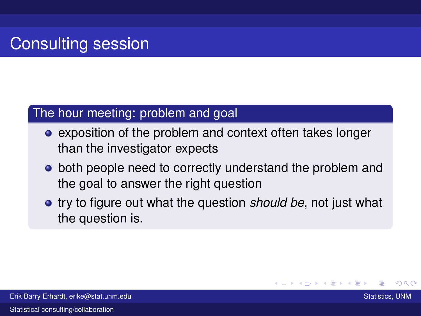#### The hour meeting: problem and goal

- exposition of the problem and context often takes longer than the investigator expects
- both people need to correctly understand the problem and the goal to answer the right question
- **•** try to figure out what the question *should be*, not just what the question is.

(ロ) ( f) >

- 4 店 8 3 番

 $\Omega$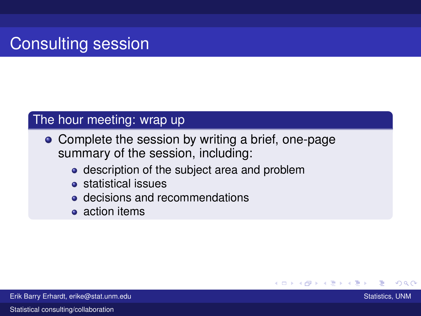#### The hour meeting: wrap up

- Complete the session by writing a brief, one-page summary of the session, including:
	- description of the subject area and problem
	- statistical issues
	- **e** decisions and recommendations
	- **a** action items

K ロ ⊁ K 倒 ≯ K ミ ⊁ K ミ ≯ つひひ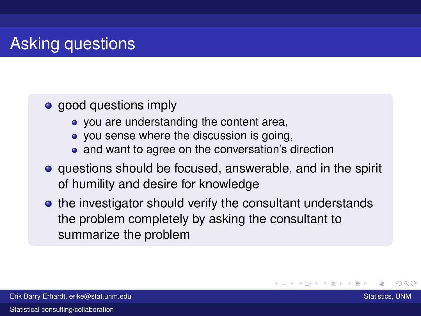# Asking questions

### • good questions imply

- you are understanding the content area,
- you sense where the discussion is going,
- and want to agree on the conversation's direction
- questions should be focused, answerable, and in the spirit of humility and desire for knowledge
- the investigator should verify the consultant understands the problem completely by asking the consultant to summarize the problem

<span id="page-9-0"></span>つひひ

K ロ ▶ K 御 ▶ K 君 ▶ K 君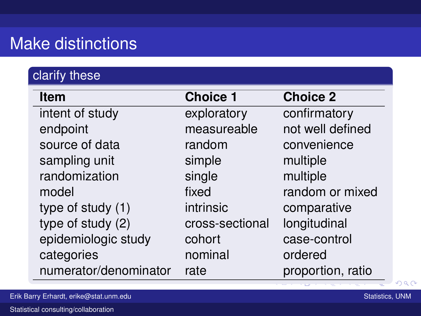## Make distinctions

### clarify these

| <b>Item</b>           | <b>Choice 1</b> | <b>Choice 2</b>   |
|-----------------------|-----------------|-------------------|
| intent of study       | exploratory     | confirmatory      |
| endpoint              | measureable     | not well defined  |
| source of data        | random          | convenience       |
| sampling unit         | simple          | multiple          |
| randomization         | single          | multiple          |
| model                 | fixed           | random or mixed   |
| type of study (1)     | intrinsic       | comparative       |
| type of study (2)     | cross-sectional | longitudinal      |
| epidemiologic study   | cohort          | case-control      |
| categories            | nominal         | ordered           |
| numerator/denominator | rate            | proportion, ratio |

 $\sim$ 

**List** 

<span id="page-10-0"></span> $2Q$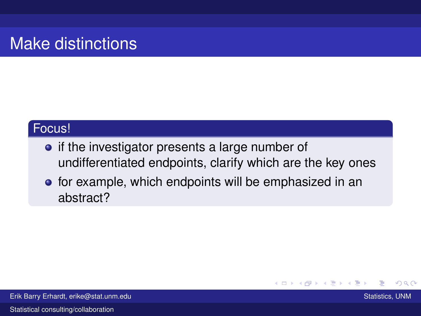# Make distinctions

#### Focus!

- if the investigator presents a large number of undifferentiated endpoints, clarify which are the key ones
- **•** for example, which endpoints will be emphasized in an abstract?

<span id="page-11-0"></span>つへへ

(ロ) ( f) >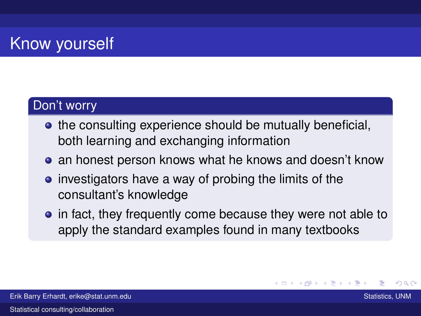# **Know yourself**

### Don't worry

- the consulting experience should be mutually beneficial, both learning and exchanging information
- **•** an honest person knows what he knows and doesn't know
- $\bullet$  investigators have a way of probing the limits of the consultant's knowledge
- in fact, they frequently come because they were not able to apply the standard examples found in many textbooks

<span id="page-12-0"></span>つひつ

K ロ ▶ K 御 ▶ K 君 ▶ K 君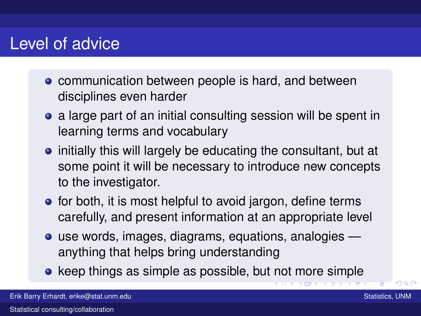## Level of advice

- communication between people is hard, and between disciplines even harder
- a large part of an initial consulting session will be spent in learning terms and vocabulary
- initially this will largely be educating the consultant, but at some point it will be necessary to introduce new concepts to the investigator.
- **•** for both, it is most helpful to avoid jargon, define terms carefully, and present information at an appropriate level
- use words, images, diagrams, equations, analogies anything that helps bring understanding
- keep things as simple as possible, but [n](#page-12-0)[ot](#page-14-0) [m](#page-12-0)[o](#page-13-0)[re](#page-14-0) [s](#page-0-0)[im](#page-23-0)[pl](#page-0-0)[e](#page-23-0)

 $\Box$ **KILLIP**  <span id="page-13-0"></span> $\Omega$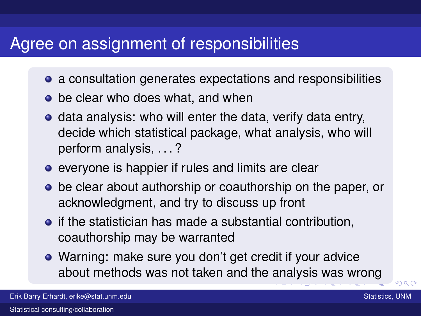## Agree on assignment of responsibilities

- a consultation generates expectations and responsibilities
- be clear who does what, and when
- **o** data analysis: who will enter the data, verify data entry, decide which statistical package, what analysis, who will perform analysis, . . . ?
- **e** everyone is happier if rules and limits are clear
- be clear about authorship or coauthorship on the paper, or acknowledgment, and try to discuss up front
- **•** if the statistician has made a substantial contribution, coauthorship may be warranted
- Warning: make sure you don't get credit if your advice about methods was not taken and the [an](#page-13-0)[al](#page-15-0)[y](#page-13-0)[si](#page-14-0)[s](#page-15-0) [w](#page-0-0)[as](#page-23-0) [w](#page-0-0)[ro](#page-23-0)[ng](#page-0-0)

<span id="page-14-0"></span> $\cap$  a  $\cap$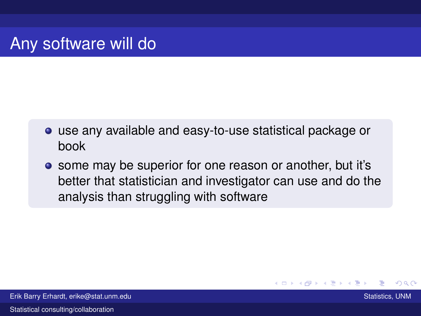- use any available and easy-to-use statistical package or book
- some may be superior for one reason or another, but it's better that statistician and investigator can use and do the analysis than struggling with software

<span id="page-15-0"></span>つひひ

Erik Barry Erhardt, erike@stat.unm.edu Statistics, UNM Statistics, UNM Statistics, UNM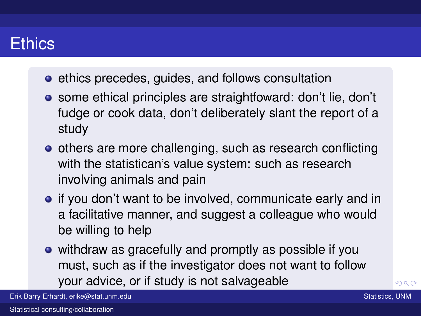## **Ethics**

- **e** ethics precedes, guides, and follows consultation
- some ethical principles are straightfoward: don't lie, don't fudge or cook data, don't deliberately slant the report of a study
- others are more challenging, such as research conflicting with the statistican's value system: such as research involving animals and pain
- if you don't want to be involved, communicate early and in a facilitative manner, and suggest a colleague who would be willing to help
- withdraw as gracefully and promptly as possible if you must, such as if the investigator does not want to follow your advice, or if study is not salvage[abl](#page-15-0)[e](#page-17-0)

fraud, erike@stat.unm.edu is outright fraud, or grossly uned manipulation is outright fraud, and the stational <br>The station of the station of the station of the station of the station of the station of the station of the s Erik Barry Erhardt, erike@stat.unm.edu Statistics, UNM Statistics, UNM Statistics, UNM

 $\Omega$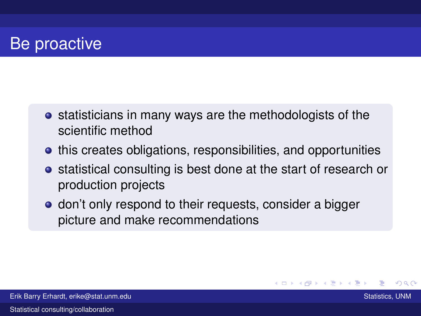## Be proactive

- **•** statisticians in many ways are the methodologists of the scientific method
- **•** this creates obligations, responsibilities, and opportunities
- **•** statistical consulting is best done at the start of research or production projects

K ロ ⊁ K 倒 ≯ K ミ ⊁ K ミ ≯

<span id="page-17-0"></span>つひひ

**o** don't only respond to their requests, consider a bigger picture and make recommendations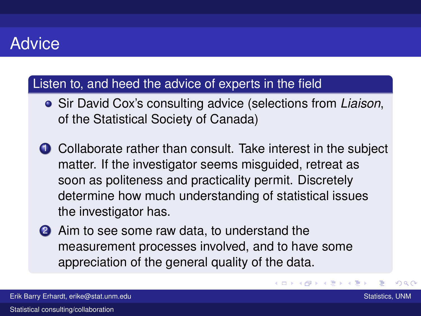## **Advice**

#### Listen to, and heed the advice of experts in the field

- Sir David Cox's consulting advice (selections from *Liaison*, of the Statistical Society of Canada)
- **1** Collaborate rather than consult. Take interest in the subject matter. If the investigator seems misguided, retreat as soon as politeness and practicality permit. Discretely determine how much understanding of statistical issues the investigator has.
- 2 Aim to see some raw data, to understand the measurement processes involved, and to have some appreciation of the general quality of the data.

 $\alpha \cap \alpha$ 

**K ロ ト K 伺 ト K ヨ ト**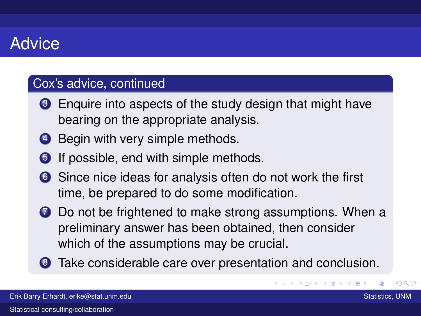## **Advice**

#### Cox's advice, continued

- <sup>3</sup> Enquire into aspects of the study design that might have bearing on the appropriate analysis.
- **4** Begin with very simple methods.
- **6** If possible, end with simple methods.
- 6 Since nice ideas for analysis often do not work the first time, be prepared to do some modification.
- **7** Do not be frightened to make strong assumptions. When a preliminary answer has been obtained, then consider which of the assumptions may be crucial.
- 8 Take considerable care over presentation and conclusion.

 $($   $\Box$   $)$   $($   $\Box$   $)$ 

つひひ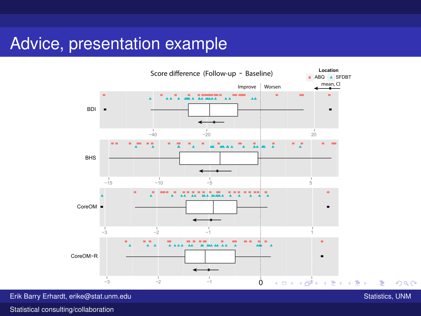## Advice, presentation example



Erik Barry Erhardt, erike@stat.unm.edu Statistics, UNM Statistics, UNM Statistics, UNM

<span id="page-20-0"></span>

 $290$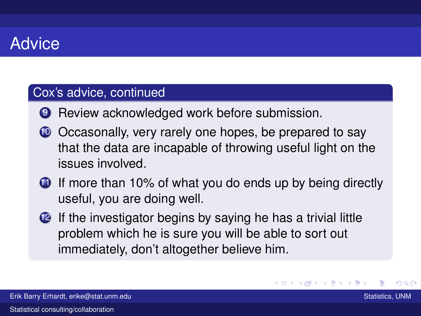## Advice

#### Cox's advice, continued

- **9** Review acknowledged work before submission.
- 10 Occasonally, very rarely one hopes, be prepared to say that the data are incapable of throwing useful light on the issues involved.
- **1** If more than 10% of what you do ends up by being directly useful, you are doing well.
- 12 If the investigator begins by saying he has a trivial little problem which he is sure you will be able to sort out immediately, don't altogether believe him.

つひひ

K ロ ⊁ K 倒 ≯ K 走 ⊁ K 走 ⊁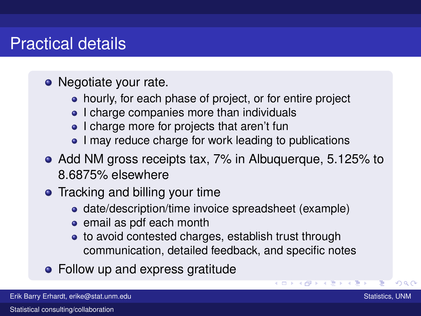## Practical details

- Negotiate your rate.
	- hourly, for each phase of project, or for entire project
	- I charge companies more than individuals
	- I charge more for projects that aren't fun
	- I may reduce charge for work leading to publications
- Add NM gross receipts tax, 7% in Albuquerque, 5.125% to 8.6875% elsewhere
- Tracking and billing your time
	- date/description/time invoice spreadsheet (example)
	- email as pdf each month
	- to avoid contested charges, establish trust through communication, detailed feedback, and specific notes
- Follow up and express gratitude

つひへ

 $(0 \times 0) \times 2$